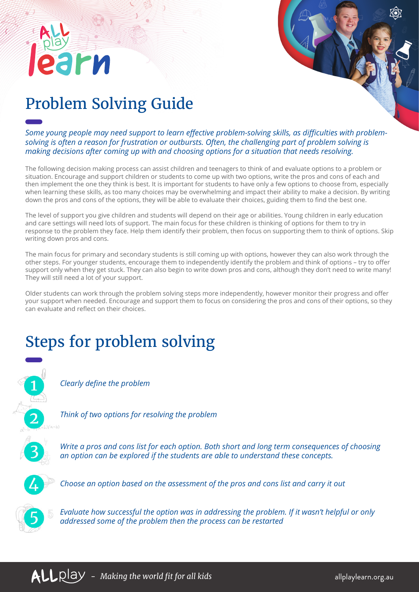## Problem Solving Guide

rи

*Some young people may need support to learn effective problem-solving skills, as difficulties with problemsolving is often a reason for frustration or outbursts. Often, the challenging part of problem solving is making decisions after coming up with and choosing options for a situation that needs resolving.* 

The following decision making process can assist children and teenagers to think of and evaluate options to a problem or situation. Encourage and support children or students to come up with two options, write the pros and cons of each and then implement the one they think is best. It is important for students to have only a few options to choose from, especially when learning these skills, as too many choices may be overwhelming and impact their ability to make a decision. By writing down the pros and cons of the options, they will be able to evaluate their choices, guiding them to find the best one.

The level of support you give children and students will depend on their age or abilities. Young children in early education and care settings will need lots of support. The main focus for these children is thinking of options for them to try in response to the problem they face. Help them identify their problem, then focus on supporting them to think of options. Skip writing down pros and cons.

The main focus for primary and secondary students is still coming up with options, however they can also work through the other steps. For younger students, encourage them to independently identify the problem and think of options – try to offer support only when they get stuck. They can also begin to write down pros and cons, although they don't need to write many! They will still need a lot of your support.

Older students can work through the problem solving steps more independently, however monitor their progress and offer your support when needed. Encourage and support them to focus on considering the pros and cons of their options, so they can evaluate and reflect on their choices.

## Steps for problem solving



*Clearly define the problem*

*Think of two options for resolving the problem*



*Write a pros and cons list for each option. Both short and long term consequences of choosing an option can be explored if the students are able to understand these concepts.* 



*Choose an option based on the assessment of the pros and cons list and carry it out*



*Evaluate how successful the option was in addressing the problem. If it wasn't helpful or only addressed some of the problem then the process can be restarted*